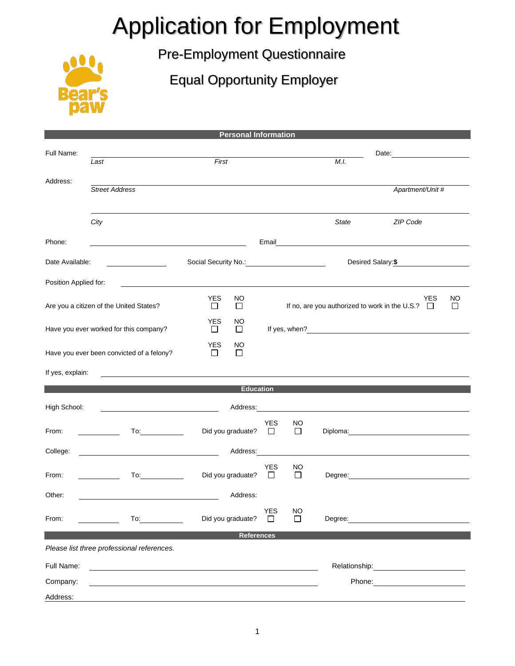## Application for Employment

Pre-Employment Questionnaire

Equal Opportunity Employer



| <b>Personal Information</b>                                                          |                                                                                                                                            |                                      |                                                                              |                |                                                                                                                |                                                                                                                                                                                                                                |  |  |  |  |
|--------------------------------------------------------------------------------------|--------------------------------------------------------------------------------------------------------------------------------------------|--------------------------------------|------------------------------------------------------------------------------|----------------|----------------------------------------------------------------------------------------------------------------|--------------------------------------------------------------------------------------------------------------------------------------------------------------------------------------------------------------------------------|--|--|--|--|
| Full Name:                                                                           |                                                                                                                                            |                                      |                                                                              |                |                                                                                                                |                                                                                                                                                                                                                                |  |  |  |  |
|                                                                                      | Last                                                                                                                                       | First                                |                                                                              |                | M.I.                                                                                                           |                                                                                                                                                                                                                                |  |  |  |  |
| Address:                                                                             | <b>Street Address</b>                                                                                                                      |                                      |                                                                              |                |                                                                                                                | Apartment/Unit #                                                                                                                                                                                                               |  |  |  |  |
|                                                                                      |                                                                                                                                            |                                      |                                                                              |                |                                                                                                                |                                                                                                                                                                                                                                |  |  |  |  |
|                                                                                      | City                                                                                                                                       |                                      |                                                                              |                | <b>State</b>                                                                                                   | ZIP Code                                                                                                                                                                                                                       |  |  |  |  |
| Phone:                                                                               |                                                                                                                                            |                                      | Email                                                                        |                |                                                                                                                |                                                                                                                                                                                                                                |  |  |  |  |
| Date Available:                                                                      | <u>and the contract of the contract of</u>                                                                                                 |                                      |                                                                              |                | Desired Salary: \$                                                                                             |                                                                                                                                                                                                                                |  |  |  |  |
| Position Applied for:<br><u> 1989 - Johann Stoff, amerikansk politiker (d. 1989)</u> |                                                                                                                                            |                                      |                                                                              |                |                                                                                                                |                                                                                                                                                                                                                                |  |  |  |  |
| Are you a citizen of the United States?                                              |                                                                                                                                            | <b>YES</b><br>NO.<br>П<br>$\Box$     | YES<br>ΝO<br>If no, are you authorized to work in the U.S.? $\Box$<br>$\Box$ |                |                                                                                                                |                                                                                                                                                                                                                                |  |  |  |  |
| Have you ever worked for this company?                                               |                                                                                                                                            | <b>YES</b><br>NO<br>$\Box$<br>$\Box$ |                                                                              |                |                                                                                                                |                                                                                                                                                                                                                                |  |  |  |  |
|                                                                                      | Have you ever been convicted of a felony?                                                                                                  | <b>YES</b><br>NO<br>$\Box$<br>$\Box$ |                                                                              |                |                                                                                                                |                                                                                                                                                                                                                                |  |  |  |  |
| If yes, explain:                                                                     |                                                                                                                                            |                                      |                                                                              |                |                                                                                                                |                                                                                                                                                                                                                                |  |  |  |  |
| <b>Education Education</b>                                                           |                                                                                                                                            |                                      |                                                                              |                |                                                                                                                |                                                                                                                                                                                                                                |  |  |  |  |
| High School:                                                                         |                                                                                                                                            | Address:                             |                                                                              |                |                                                                                                                |                                                                                                                                                                                                                                |  |  |  |  |
| From:                                                                                | To:<br>$\sim$ $\sim$                                                                                                                       | Did you graduate?                    | YES<br>□                                                                     | NO<br>$\Box$   |                                                                                                                |                                                                                                                                                                                                                                |  |  |  |  |
| College:                                                                             | <u> 1989 - Johann Barn, mars ann an Catharin ann an t-</u>                                                                                 |                                      |                                                                              |                |                                                                                                                | Address: Address:                                                                                                                                                                                                              |  |  |  |  |
| From:                                                                                | To: and the state of the state of the state of the state of the state of the state of the state of the state o<br><b>Contract Contract</b> | Did you graduate?                    | YES<br>□                                                                     | NO<br>□        |                                                                                                                | Degree: the contract of the contract of the contract of the contract of the contract of the contract of the contract of the contract of the contract of the contract of the contract of the contract of the contract of the co |  |  |  |  |
| Other:                                                                               |                                                                                                                                            | Address:                             |                                                                              |                |                                                                                                                |                                                                                                                                                                                                                                |  |  |  |  |
| From:                                                                                | To: and the state of the state of the state of the state of the state of the state of the state of the state o                             | Did you graduate?                    | YES<br>$\Box$                                                                | <b>NO</b><br>П |                                                                                                                | Degree: the contract of the contract of the contract of the contract of the contract of the contract of the contract of the contract of the contract of the contract of the contract of the contract of the contract of the co |  |  |  |  |
| <b>References</b>                                                                    |                                                                                                                                            |                                      |                                                                              |                |                                                                                                                |                                                                                                                                                                                                                                |  |  |  |  |
|                                                                                      | Please list three professional references.                                                                                                 |                                      |                                                                              |                |                                                                                                                |                                                                                                                                                                                                                                |  |  |  |  |
| Full Name:                                                                           |                                                                                                                                            |                                      |                                                                              |                | Relationship: example and all the set of the set of the set of the set of the set of the set of the set of the |                                                                                                                                                                                                                                |  |  |  |  |
| Company:                                                                             |                                                                                                                                            |                                      |                                                                              |                |                                                                                                                |                                                                                                                                                                                                                                |  |  |  |  |
| Address:                                                                             |                                                                                                                                            |                                      |                                                                              |                |                                                                                                                |                                                                                                                                                                                                                                |  |  |  |  |